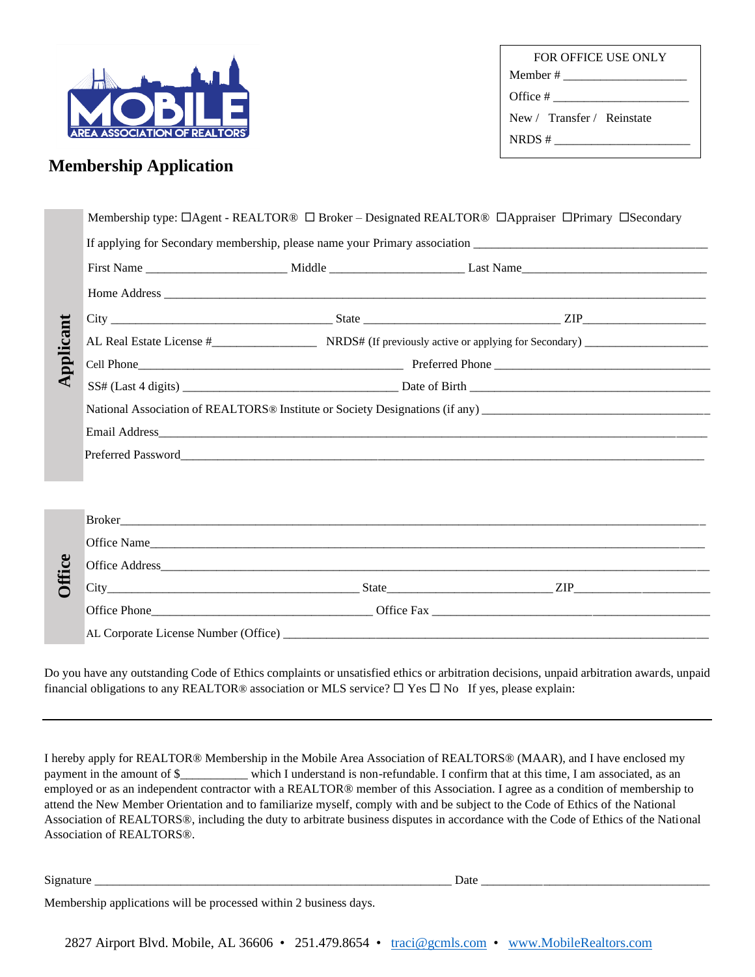

FOR OFFICE USE ONLY Member # \_\_\_\_\_\_\_\_\_\_\_\_\_\_\_\_\_\_\_\_ Office # \_\_\_\_\_\_\_\_\_\_\_\_\_\_\_\_\_\_\_\_\_\_ New / Transfer / Reinstate NRDS # \_\_\_\_\_\_\_\_\_\_\_\_\_\_\_\_\_\_\_\_\_\_

# **Membership Application**

|               |                                                                                                                | Membership type: □Agent - REALTOR® □ Broker – Designated REALTOR® □Appraiser □Primary □Secondary                                                                                                                                                                                                                                                                                                                                                                                                                                                                                                                                                          |  |                                                                                                                                         |  |  |  |  |  |  |
|---------------|----------------------------------------------------------------------------------------------------------------|-----------------------------------------------------------------------------------------------------------------------------------------------------------------------------------------------------------------------------------------------------------------------------------------------------------------------------------------------------------------------------------------------------------------------------------------------------------------------------------------------------------------------------------------------------------------------------------------------------------------------------------------------------------|--|-----------------------------------------------------------------------------------------------------------------------------------------|--|--|--|--|--|--|
|               |                                                                                                                |                                                                                                                                                                                                                                                                                                                                                                                                                                                                                                                                                                                                                                                           |  |                                                                                                                                         |  |  |  |  |  |  |
|               |                                                                                                                |                                                                                                                                                                                                                                                                                                                                                                                                                                                                                                                                                                                                                                                           |  |                                                                                                                                         |  |  |  |  |  |  |
|               |                                                                                                                |                                                                                                                                                                                                                                                                                                                                                                                                                                                                                                                                                                                                                                                           |  |                                                                                                                                         |  |  |  |  |  |  |
| pplicant      |                                                                                                                |                                                                                                                                                                                                                                                                                                                                                                                                                                                                                                                                                                                                                                                           |  |                                                                                                                                         |  |  |  |  |  |  |
|               |                                                                                                                |                                                                                                                                                                                                                                                                                                                                                                                                                                                                                                                                                                                                                                                           |  |                                                                                                                                         |  |  |  |  |  |  |
|               |                                                                                                                |                                                                                                                                                                                                                                                                                                                                                                                                                                                                                                                                                                                                                                                           |  |                                                                                                                                         |  |  |  |  |  |  |
|               |                                                                                                                |                                                                                                                                                                                                                                                                                                                                                                                                                                                                                                                                                                                                                                                           |  |                                                                                                                                         |  |  |  |  |  |  |
|               | National Association of REALTORS® Institute or Society Designations (if any) _________________________________ |                                                                                                                                                                                                                                                                                                                                                                                                                                                                                                                                                                                                                                                           |  |                                                                                                                                         |  |  |  |  |  |  |
|               |                                                                                                                |                                                                                                                                                                                                                                                                                                                                                                                                                                                                                                                                                                                                                                                           |  |                                                                                                                                         |  |  |  |  |  |  |
|               |                                                                                                                |                                                                                                                                                                                                                                                                                                                                                                                                                                                                                                                                                                                                                                                           |  |                                                                                                                                         |  |  |  |  |  |  |
|               |                                                                                                                |                                                                                                                                                                                                                                                                                                                                                                                                                                                                                                                                                                                                                                                           |  |                                                                                                                                         |  |  |  |  |  |  |
|               |                                                                                                                |                                                                                                                                                                                                                                                                                                                                                                                                                                                                                                                                                                                                                                                           |  |                                                                                                                                         |  |  |  |  |  |  |
|               |                                                                                                                |                                                                                                                                                                                                                                                                                                                                                                                                                                                                                                                                                                                                                                                           |  |                                                                                                                                         |  |  |  |  |  |  |
|               |                                                                                                                | Office Name                                                                                                                                                                                                                                                                                                                                                                                                                                                                                                                                                                                                                                               |  |                                                                                                                                         |  |  |  |  |  |  |
|               |                                                                                                                |                                                                                                                                                                                                                                                                                                                                                                                                                                                                                                                                                                                                                                                           |  |                                                                                                                                         |  |  |  |  |  |  |
| <b>Office</b> |                                                                                                                |                                                                                                                                                                                                                                                                                                                                                                                                                                                                                                                                                                                                                                                           |  |                                                                                                                                         |  |  |  |  |  |  |
|               |                                                                                                                |                                                                                                                                                                                                                                                                                                                                                                                                                                                                                                                                                                                                                                                           |  |                                                                                                                                         |  |  |  |  |  |  |
|               |                                                                                                                |                                                                                                                                                                                                                                                                                                                                                                                                                                                                                                                                                                                                                                                           |  |                                                                                                                                         |  |  |  |  |  |  |
|               |                                                                                                                | financial obligations to any REALTOR® association or MLS service? $\Box$ Yes $\Box$ No If yes, please explain:                                                                                                                                                                                                                                                                                                                                                                                                                                                                                                                                            |  | Do you have any outstanding Code of Ethics complaints or unsatisfied ethics or arbitration decisions, unpaid arbitration awards, unpaid |  |  |  |  |  |  |
|               | Association of REALTORS®.                                                                                      | I hereby apply for REALTOR® Membership in the Mobile Area Association of REALTORS® (MAAR), and I have enclosed my<br>payment in the amount of \$_________ which I understand is non-refundable. I confirm that at this time, I am associated, as an<br>employed or as an independent contractor with a REALTOR® member of this Association. I agree as a condition of membership to<br>attend the New Member Orientation and to familiarize myself, comply with and be subject to the Code of Ethics of the National<br>Association of REALTORS®, including the duty to arbitrate business disputes in accordance with the Code of Ethics of the National |  |                                                                                                                                         |  |  |  |  |  |  |
|               |                                                                                                                |                                                                                                                                                                                                                                                                                                                                                                                                                                                                                                                                                                                                                                                           |  |                                                                                                                                         |  |  |  |  |  |  |
|               | Membership applications will be processed within 2 business days.                                              |                                                                                                                                                                                                                                                                                                                                                                                                                                                                                                                                                                                                                                                           |  |                                                                                                                                         |  |  |  |  |  |  |